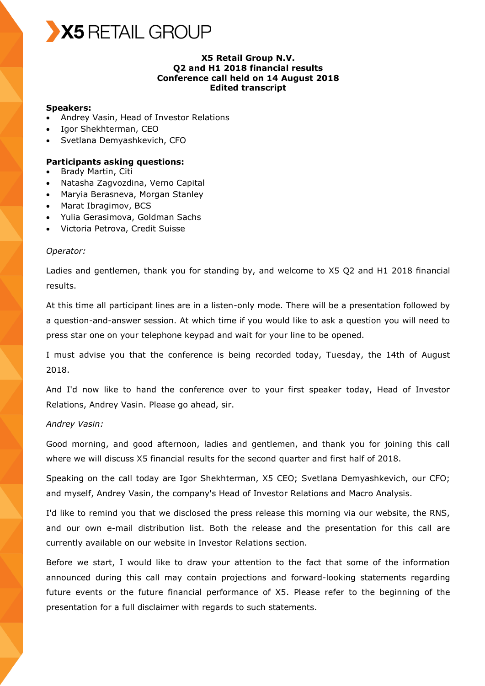

#### **X5 Retail Group N.V. Q2 and H1 2018 financial results Conference call held on 14 August 2018 Edited transcript**

#### **Speakers:**

- Andrey Vasin, Head of Investor Relations
- Igor Shekhterman, CEO
- Svetlana Demyashkevich, CFO

#### **Participants asking questions:**

- Brady Martin, Citi
- Natasha Zagvozdina, Verno Capital
- Maryia Berasneva, Morgan Stanley
- Marat Ibragimov, BCS
- Yulia Gerasimova, Goldman Sachs
- Victoria Petrova, Credit Suisse

#### *Operator:*

Ladies and gentlemen, thank you for standing by, and welcome to X5 Q2 and H1 2018 financial results.

At this time all participant lines are in a listen-only mode. There will be a presentation followed by a question-and-answer session. At which time if you would like to ask a question you will need to press star one on your telephone keypad and wait for your line to be opened.

I must advise you that the conference is being recorded today, Tuesday, the 14th of August 2018.

And I'd now like to hand the conference over to your first speaker today, Head of Investor Relations, Andrey Vasin. Please go ahead, sir.

#### *Andrey Vasin:*

Good morning, and good afternoon, ladies and gentlemen, and thank you for joining this call where we will discuss X5 financial results for the second quarter and first half of 2018.

Speaking on the call today are Igor Shekhterman, X5 CEO; Svetlana Demyashkevich, our CFO; and myself, Andrey Vasin, the company's Head of Investor Relations and Macro Analysis.

I'd like to remind you that we disclosed the press release this morning via our website, the RNS, and our own e-mail distribution list. Both the release and the presentation for this call are currently available on our website in Investor Relations section.

Before we start, I would like to draw your attention to the fact that some of the information announced during this call may contain projections and forward-looking statements regarding future events or the future financial performance of X5. Please refer to the beginning of the presentation for a full disclaimer with regards to such statements.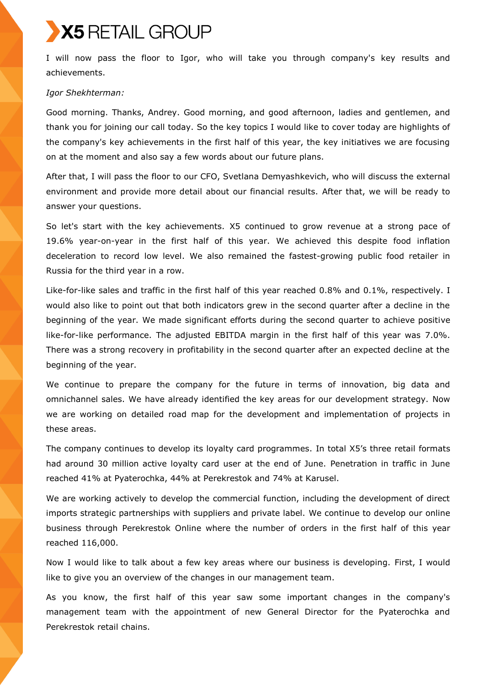I will now pass the floor to Igor, who will take you through company's key results and achievements.

#### *Igor Shekhterman:*

Good morning. Thanks, Andrey. Good morning, and good afternoon, ladies and gentlemen, and thank you for joining our call today. So the key topics I would like to cover today are highlights of the company's key achievements in the first half of this year, the key initiatives we are focusing on at the moment and also say a few words about our future plans.

After that, I will pass the floor to our CFO, Svetlana Demyashkevich, who will discuss the external environment and provide more detail about our financial results. After that, we will be ready to answer your questions.

So let's start with the key achievements. X5 continued to grow revenue at a strong pace of 19.6% year-on-year in the first half of this year. We achieved this despite food inflation deceleration to record low level. We also remained the fastest-growing public food retailer in Russia for the third year in a row.

Like-for-like sales and traffic in the first half of this year reached 0.8% and 0.1%, respectively. I would also like to point out that both indicators grew in the second quarter after a decline in the beginning of the year. We made significant efforts during the second quarter to achieve positive like-for-like performance. The adjusted EBITDA margin in the first half of this year was 7.0%. There was a strong recovery in profitability in the second quarter after an expected decline at the beginning of the year.

We continue to prepare the company for the future in terms of innovation, big data and omnichannel sales. We have already identified the key areas for our development strategy. Now we are working on detailed road map for the development and implementation of projects in these areas.

The company continues to develop its loyalty card programmes. In total X5's three retail formats had around 30 million active loyalty card user at the end of June. Penetration in traffic in June reached 41% at Pyaterochka, 44% at Perekrestok and 74% at Karusel.

We are working actively to develop the commercial function, including the development of direct imports strategic partnerships with suppliers and private label. We continue to develop our online business through Perekrestok Online where the number of orders in the first half of this year reached 116,000.

Now I would like to talk about a few key areas where our business is developing. First, I would like to give you an overview of the changes in our management team.

As you know, the first half of this year saw some important changes in the company's management team with the appointment of new General Director for the Pyaterochka and Perekrestok retail chains.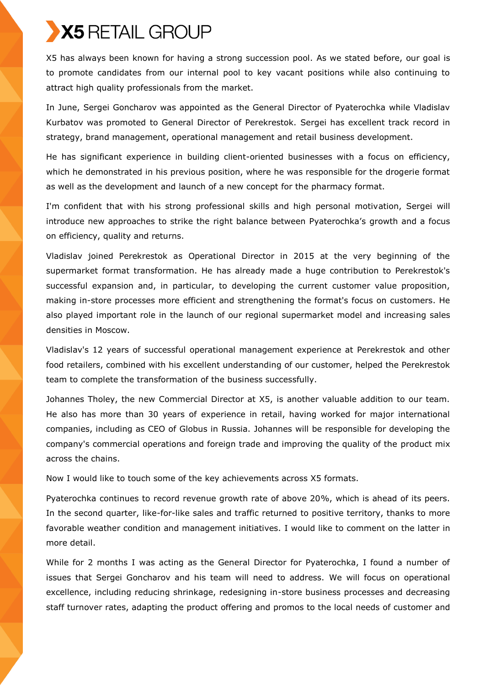X5 has always been known for having a strong succession pool. As we stated before, our goal is to promote candidates from our internal pool to key vacant positions while also continuing to attract high quality professionals from the market.

In June, Sergei Goncharov was appointed as the General Director of Pyaterochka while Vladislav Kurbatov was promoted to General Director of Perekrestok. Sergei has excellent track record in strategy, brand management, operational management and retail business development.

He has significant experience in building client-oriented businesses with a focus on efficiency, which he demonstrated in his previous position, where he was responsible for the drogerie format as well as the development and launch of a new concept for the pharmacy format.

I'm confident that with his strong professional skills and high personal motivation, Sergei will introduce new approaches to strike the right balance between Pyaterochka's growth and a focus on efficiency, quality and returns.

Vladislav joined Perekrestok as Operational Director in 2015 at the very beginning of the supermarket format transformation. He has already made a huge contribution to Perekrestok's successful expansion and, in particular, to developing the current customer value proposition, making in-store processes more efficient and strengthening the format's focus on customers. He also played important role in the launch of our regional supermarket model and increasing sales densities in Moscow.

Vladislav's 12 years of successful operational management experience at Perekrestok and other food retailers, combined with his excellent understanding of our customer, helped the Perekrestok team to complete the transformation of the business successfully.

Johannes Tholey, the new Commercial Director at X5, is another valuable addition to our team. He also has more than 30 years of experience in retail, having worked for major international companies, including as CEO of Globus in Russia. Johannes will be responsible for developing the company's commercial operations and foreign trade and improving the quality of the product mix across the chains.

Now I would like to touch some of the key achievements across X5 formats.

Pyaterochka continues to record revenue growth rate of above 20%, which is ahead of its peers. In the second quarter, like-for-like sales and traffic returned to positive territory, thanks to more favorable weather condition and management initiatives. I would like to comment on the latter in more detail.

While for 2 months I was acting as the General Director for Pyaterochka, I found a number of issues that Sergei Goncharov and his team will need to address. We will focus on operational excellence, including reducing shrinkage, redesigning in-store business processes and decreasing staff turnover rates, adapting the product offering and promos to the local needs of customer and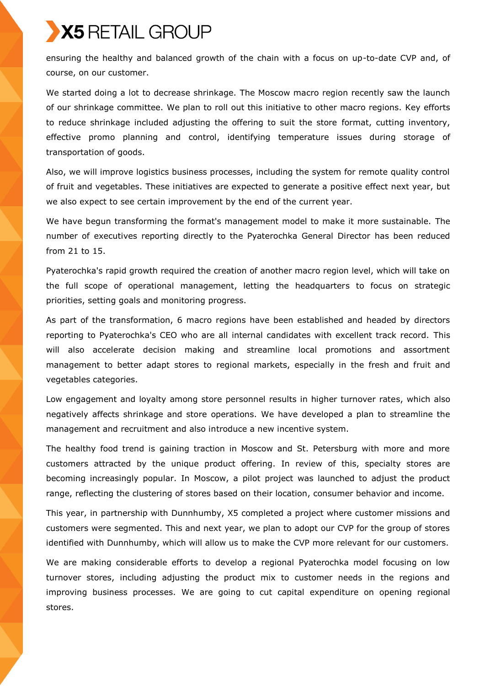ensuring the healthy and balanced growth of the chain with a focus on up-to-date CVP and, of course, on our customer.

We started doing a lot to decrease shrinkage. The Moscow macro region recently saw the launch of our shrinkage committee. We plan to roll out this initiative to other macro regions. Key efforts to reduce shrinkage included adjusting the offering to suit the store format, cutting inventory, effective promo planning and control, identifying temperature issues during storage of transportation of goods.

Also, we will improve logistics business processes, including the system for remote quality control of fruit and vegetables. These initiatives are expected to generate a positive effect next year, but we also expect to see certain improvement by the end of the current year.

We have begun transforming the format's management model to make it more sustainable. The number of executives reporting directly to the Pyaterochka General Director has been reduced from 21 to 15.

Pyaterochka's rapid growth required the creation of another macro region level, which will take on the full scope of operational management, letting the headquarters to focus on strategic priorities, setting goals and monitoring progress.

As part of the transformation, 6 macro regions have been established and headed by directors reporting to Pyaterochka's CEO who are all internal candidates with excellent track record. This will also accelerate decision making and streamline local promotions and assortment management to better adapt stores to regional markets, especially in the fresh and fruit and vegetables categories.

Low engagement and loyalty among store personnel results in higher turnover rates, which also negatively affects shrinkage and store operations. We have developed a plan to streamline the management and recruitment and also introduce a new incentive system.

The healthy food trend is gaining traction in Moscow and St. Petersburg with more and more customers attracted by the unique product offering. In review of this, specialty stores are becoming increasingly popular. In Moscow, a pilot project was launched to adjust the product range, reflecting the clustering of stores based on their location, consumer behavior and income.

This year, in partnership with Dunnhumby, X5 completed a project where customer missions and customers were segmented. This and next year, we plan to adopt our CVP for the group of stores identified with Dunnhumby, which will allow us to make the CVP more relevant for our customers.

We are making considerable efforts to develop a regional Pyaterochka model focusing on low turnover stores, including adjusting the product mix to customer needs in the regions and improving business processes. We are going to cut capital expenditure on opening regional stores.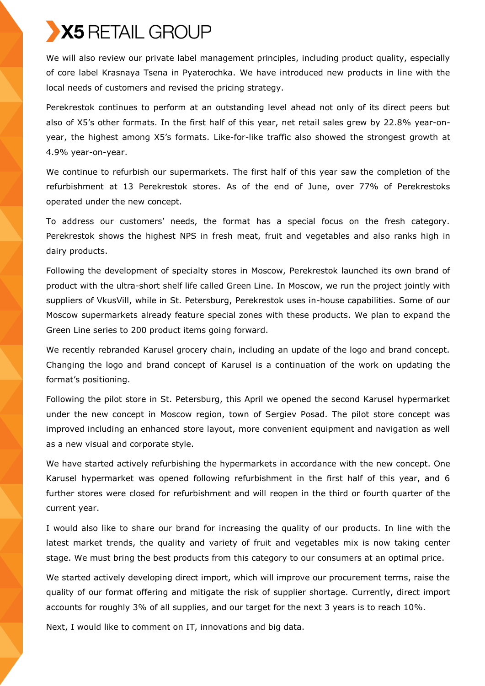We will also review our private label management principles, including product quality, especially of core label Krasnaya Tsena in Pyaterochka. We have introduced new products in line with the local needs of customers and revised the pricing strategy.

Perekrestok continues to perform at an outstanding level ahead not only of its direct peers but also of X5's other formats. In the first half of this year, net retail sales grew by 22.8% year-onyear, the highest among X5's formats. Like-for-like traffic also showed the strongest growth at 4.9% year-on-year.

We continue to refurbish our supermarkets. The first half of this year saw the completion of the refurbishment at 13 Perekrestok stores. As of the end of June, over 77% of Perekrestoks operated under the new concept.

To address our customers' needs, the format has a special focus on the fresh category. Perekrestok shows the highest NPS in fresh meat, fruit and vegetables and also ranks high in dairy products.

Following the development of specialty stores in Moscow, Perekrestok launched its own brand of product with the ultra-short shelf life called Green Line. In Moscow, we run the project jointly with suppliers of VkusVill, while in St. Petersburg, Perekrestok uses in-house capabilities. Some of our Moscow supermarkets already feature special zones with these products. We plan to expand the Green Line series to 200 product items going forward.

We recently rebranded Karusel grocery chain, including an update of the logo and brand concept. Changing the logo and brand concept of Karusel is a continuation of the work on updating the format's positioning.

Following the pilot store in St. Petersburg, this April we opened the second Karusel hypermarket under the new concept in Moscow region, town of Sergiev Posad. The pilot store concept was improved including an enhanced store layout, more convenient equipment and navigation as well as a new visual and corporate style.

We have started actively refurbishing the hypermarkets in accordance with the new concept. One Karusel hypermarket was opened following refurbishment in the first half of this year, and 6 further stores were closed for refurbishment and will reopen in the third or fourth quarter of the current year.

I would also like to share our brand for increasing the quality of our products. In line with the latest market trends, the quality and variety of fruit and vegetables mix is now taking center stage. We must bring the best products from this category to our consumers at an optimal price.

We started actively developing direct import, which will improve our procurement terms, raise the quality of our format offering and mitigate the risk of supplier shortage. Currently, direct import accounts for roughly 3% of all supplies, and our target for the next 3 years is to reach 10%.

Next, I would like to comment on IT, innovations and big data.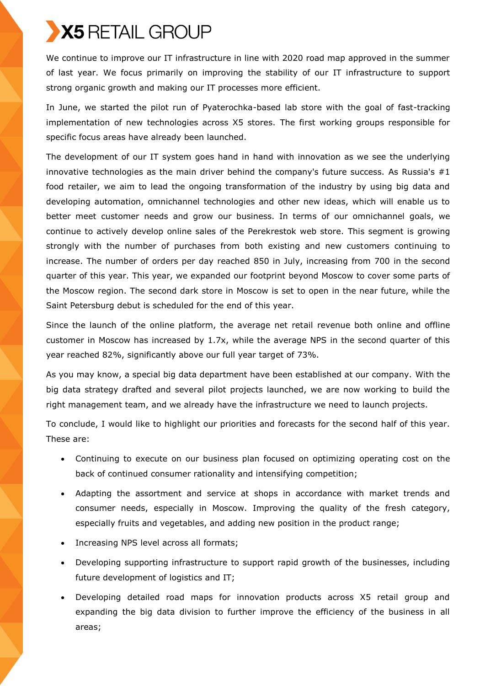We continue to improve our IT infrastructure in line with 2020 road map approved in the summer of last year. We focus primarily on improving the stability of our IT infrastructure to support strong organic growth and making our IT processes more efficient.

In June, we started the pilot run of Pyaterochka-based lab store with the goal of fast-tracking implementation of new technologies across X5 stores. The first working groups responsible for specific focus areas have already been launched.

The development of our IT system goes hand in hand with innovation as we see the underlying innovative technologies as the main driver behind the company's future success. As Russia's  $#1$ food retailer, we aim to lead the ongoing transformation of the industry by using big data and developing automation, omnichannel technologies and other new ideas, which will enable us to better meet customer needs and grow our business. In terms of our omnichannel goals, we continue to actively develop online sales of the Perekrestok web store. This segment is growing strongly with the number of purchases from both existing and new customers continuing to increase. The number of orders per day reached 850 in July, increasing from 700 in the second quarter of this year. This year, we expanded our footprint beyond Moscow to cover some parts of the Moscow region. The second dark store in Moscow is set to open in the near future, while the Saint Petersburg debut is scheduled for the end of this year.

Since the launch of the online platform, the average net retail revenue both online and offline customer in Moscow has increased by 1.7x, while the average NPS in the second quarter of this year reached 82%, significantly above our full year target of 73%.

As you may know, a special big data department have been established at our company. With the big data strategy drafted and several pilot projects launched, we are now working to build the right management team, and we already have the infrastructure we need to launch projects.

To conclude, I would like to highlight our priorities and forecasts for the second half of this year. These are:

- Continuing to execute on our business plan focused on optimizing operating cost on the back of continued consumer rationality and intensifying competition;
- Adapting the assortment and service at shops in accordance with market trends and consumer needs, especially in Moscow. Improving the quality of the fresh category, especially fruits and vegetables, and adding new position in the product range;
- Increasing NPS level across all formats;
- Developing supporting infrastructure to support rapid growth of the businesses, including future development of logistics and IT;
- Developing detailed road maps for innovation products across X5 retail group and expanding the big data division to further improve the efficiency of the business in all areas;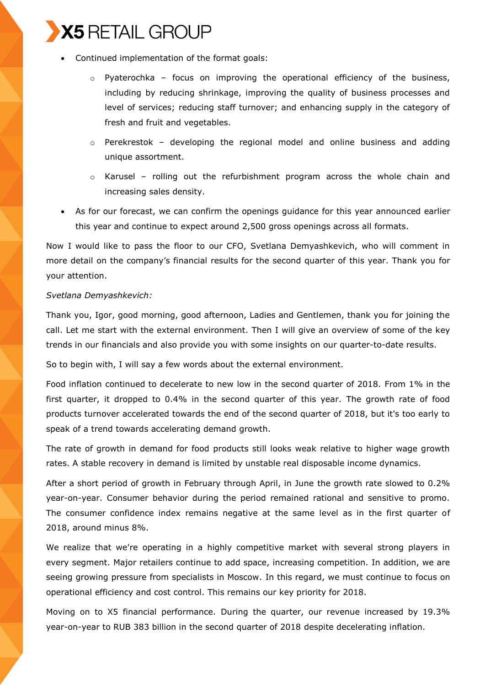

- Continued implementation of the format goals:
	- $\circ$  Pyaterochka focus on improving the operational efficiency of the business, including by reducing shrinkage, improving the quality of business processes and level of services; reducing staff turnover; and enhancing supply in the category of fresh and fruit and vegetables.
	- $\circ$  Perekrestok developing the regional model and online business and adding unique assortment.
	- $\circ$  Karusel rolling out the refurbishment program across the whole chain and increasing sales density.
- As for our forecast, we can confirm the openings guidance for this year announced earlier this year and continue to expect around 2,500 gross openings across all formats.

Now I would like to pass the floor to our CFO, Svetlana Demyashkevich, who will comment in more detail on the company's financial results for the second quarter of this year. Thank you for your attention.

#### *Svetlana Demyashkevich:*

Thank you, Igor, good morning, good afternoon, Ladies and Gentlemen, thank you for joining the call. Let me start with the external environment. Then I will give an overview of some of the key trends in our financials and also provide you with some insights on our quarter-to-date results.

So to begin with, I will say a few words about the external environment.

Food inflation continued to decelerate to new low in the second quarter of 2018. From 1% in the first quarter, it dropped to 0.4% in the second quarter of this year. The growth rate of food products turnover accelerated towards the end of the second quarter of 2018, but it's too early to speak of a trend towards accelerating demand growth.

The rate of growth in demand for food products still looks weak relative to higher wage growth rates. A stable recovery in demand is limited by unstable real disposable income dynamics.

After a short period of growth in February through April, in June the growth rate slowed to 0.2% year-on-year. Consumer behavior during the period remained rational and sensitive to promo. The consumer confidence index remains negative at the same level as in the first quarter of 2018, around minus 8%.

We realize that we're operating in a highly competitive market with several strong players in every segment. Major retailers continue to add space, increasing competition. In addition, we are seeing growing pressure from specialists in Moscow. In this regard, we must continue to focus on operational efficiency and cost control. This remains our key priority for 2018.

Moving on to X5 financial performance. During the quarter, our revenue increased by 19.3% year-on-year to RUB 383 billion in the second quarter of 2018 despite decelerating inflation.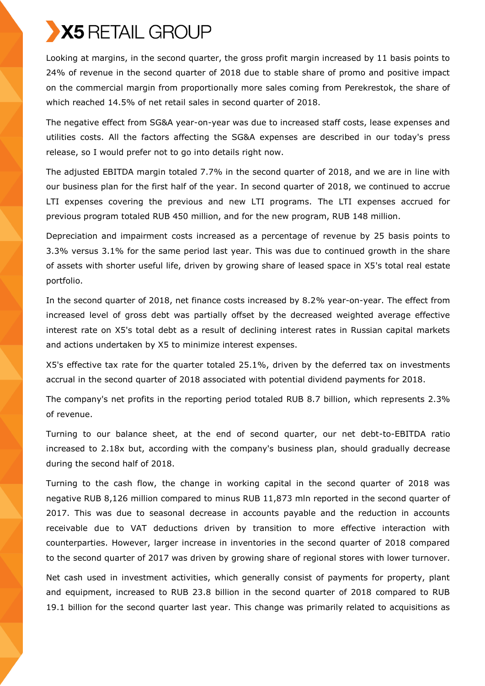Looking at margins, in the second quarter, the gross profit margin increased by 11 basis points to 24% of revenue in the second quarter of 2018 due to stable share of promo and positive impact on the commercial margin from proportionally more sales coming from Perekrestok, the share of which reached 14.5% of net retail sales in second quarter of 2018.

The negative effect from SG&A year-on-year was due to increased staff costs, lease expenses and utilities costs. All the factors affecting the SG&A expenses are described in our today's press release, so I would prefer not to go into details right now.

The adjusted EBITDA margin totaled 7.7% in the second quarter of 2018, and we are in line with our business plan for the first half of the year. In second quarter of 2018, we continued to accrue LTI expenses covering the previous and new LTI programs. The LTI expenses accrued for previous program totaled RUB 450 million, and for the new program, RUB 148 million.

Depreciation and impairment costs increased as a percentage of revenue by 25 basis points to 3.3% versus 3.1% for the same period last year. This was due to continued growth in the share of assets with shorter useful life, driven by growing share of leased space in X5's total real estate portfolio.

In the second quarter of 2018, net finance costs increased by 8.2% year-on-year. The effect from increased level of gross debt was partially offset by the decreased weighted average effective interest rate on X5's total debt as a result of declining interest rates in Russian capital markets and actions undertaken by X5 to minimize interest expenses.

X5's effective tax rate for the quarter totaled 25.1%, driven by the deferred tax on investments accrual in the second quarter of 2018 associated with potential dividend payments for 2018.

The company's net profits in the reporting period totaled RUB 8.7 billion, which represents 2.3% of revenue.

Turning to our balance sheet, at the end of second quarter, our net debt-to-EBITDA ratio increased to 2.18x but, according with the company's business plan, should gradually decrease during the second half of 2018.

Turning to the cash flow, the change in working capital in the second quarter of 2018 was negative RUB 8,126 million compared to minus RUB 11,873 mln reported in the second quarter of 2017. This was due to seasonal decrease in accounts payable and the reduction in accounts receivable due to VAT deductions driven by transition to more effective interaction with counterparties. However, larger increase in inventories in the second quarter of 2018 compared to the second quarter of 2017 was driven by growing share of regional stores with lower turnover.

Net cash used in investment activities, which generally consist of payments for property, plant and equipment, increased to RUB 23.8 billion in the second quarter of 2018 compared to RUB 19.1 billion for the second quarter last year. This change was primarily related to acquisitions as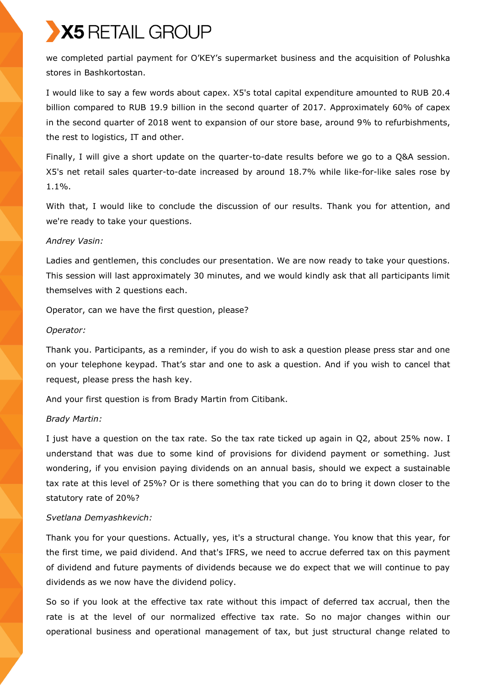we completed partial payment for O'KEY's supermarket business and the acquisition of Polushka stores in Bashkortostan.

I would like to say a few words about capex. X5's total capital expenditure amounted to RUB 20.4 billion compared to RUB 19.9 billion in the second quarter of 2017. Approximately 60% of capex in the second quarter of 2018 went to expansion of our store base, around 9% to refurbishments, the rest to logistics, IT and other.

Finally, I will give a short update on the quarter-to-date results before we go to a Q&A session. X5's net retail sales quarter-to-date increased by around 18.7% while like-for-like sales rose by 1.1%.

With that, I would like to conclude the discussion of our results. Thank you for attention, and we're ready to take your questions.

#### *Andrey Vasin:*

Ladies and gentlemen, this concludes our presentation. We are now ready to take your questions. This session will last approximately 30 minutes, and we would kindly ask that all participants limit themselves with 2 questions each.

Operator, can we have the first question, please?

#### *Operator:*

Thank you. Participants, as a reminder, if you do wish to ask a question please press star and one on your telephone keypad. That's star and one to ask a question. And if you wish to cancel that request, please press the hash key.

And your first question is from Brady Martin from Citibank.

#### *Brady Martin:*

I just have a question on the tax rate. So the tax rate ticked up again in Q2, about 25% now. I understand that was due to some kind of provisions for dividend payment or something. Just wondering, if you envision paying dividends on an annual basis, should we expect a sustainable tax rate at this level of 25%? Or is there something that you can do to bring it down closer to the statutory rate of 20%?

#### *Svetlana Demyashkevich:*

Thank you for your questions. Actually, yes, it's a structural change. You know that this year, for the first time, we paid dividend. And that's IFRS, we need to accrue deferred tax on this payment of dividend and future payments of dividends because we do expect that we will continue to pay dividends as we now have the dividend policy.

So so if you look at the effective tax rate without this impact of deferred tax accrual, then the rate is at the level of our normalized effective tax rate. So no major changes within our operational business and operational management of tax, but just structural change related to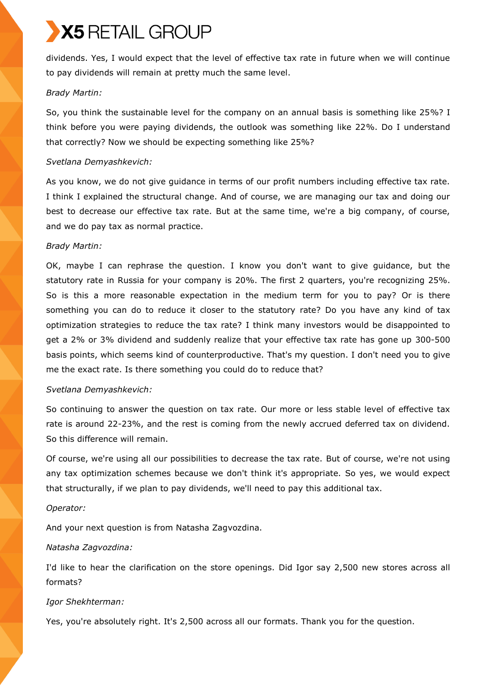dividends. Yes, I would expect that the level of effective tax rate in future when we will continue to pay dividends will remain at pretty much the same level.

### *Brady Martin:*

So, you think the sustainable level for the company on an annual basis is something like 25%? I think before you were paying dividends, the outlook was something like 22%. Do I understand that correctly? Now we should be expecting something like 25%?

### *Svetlana Demyashkevich:*

As you know, we do not give guidance in terms of our profit numbers including effective tax rate. I think I explained the structural change. And of course, we are managing our tax and doing our best to decrease our effective tax rate. But at the same time, we're a big company, of course, and we do pay tax as normal practice.

### *Brady Martin:*

OK, maybe I can rephrase the question. I know you don't want to give guidance, but the statutory rate in Russia for your company is 20%. The first 2 quarters, you're recognizing 25%. So is this a more reasonable expectation in the medium term for you to pay? Or is there something you can do to reduce it closer to the statutory rate? Do you have any kind of tax optimization strategies to reduce the tax rate? I think many investors would be disappointed to get a 2% or 3% dividend and suddenly realize that your effective tax rate has gone up 300-500 basis points, which seems kind of counterproductive. That's my question. I don't need you to give me the exact rate. Is there something you could do to reduce that?

### *Svetlana Demyashkevich:*

So continuing to answer the question on tax rate. Our more or less stable level of effective tax rate is around 22-23%, and the rest is coming from the newly accrued deferred tax on dividend. So this difference will remain.

Of course, we're using all our possibilities to decrease the tax rate. But of course, we're not using any tax optimization schemes because we don't think it's appropriate. So yes, we would expect that structurally, if we plan to pay dividends, we'll need to pay this additional tax.

#### *Operator:*

And your next question is from Natasha Zagvozdina.

# *Natasha Zagvozdina:*

I'd like to hear the clarification on the store openings. Did Igor say 2,500 new stores across all formats?

# *Igor Shekhterman:*

Yes, you're absolutely right. It's 2,500 across all our formats. Thank you for the question.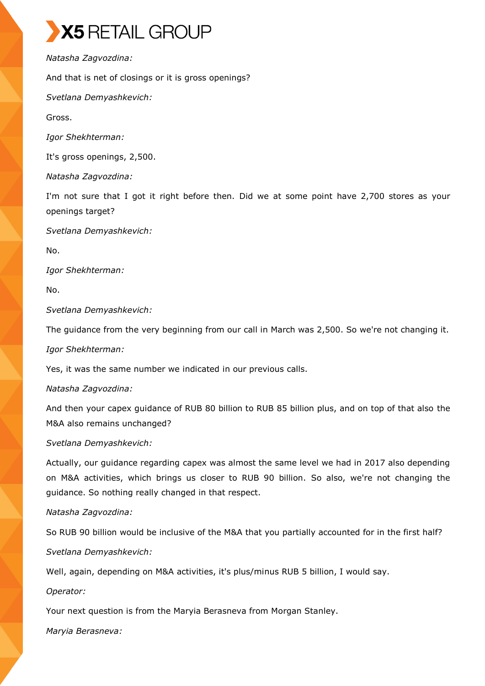*Natasha Zagvozdina:*

And that is net of closings or it is gross openings?

*Svetlana Demyashkevich:*

Gross.

*Igor Shekhterman:*

It's gross openings, 2,500.

*Natasha Zagvozdina:*

I'm not sure that I got it right before then. Did we at some point have 2,700 stores as your openings target?

*Svetlana Demyashkevich:*

No.

*Igor Shekhterman:*

No.

*Svetlana Demyashkevich:*

The guidance from the very beginning from our call in March was 2,500. So we're not changing it.

*Igor Shekhterman:*

Yes, it was the same number we indicated in our previous calls.

*Natasha Zagvozdina:*

And then your capex guidance of RUB 80 billion to RUB 85 billion plus, and on top of that also the M&A also remains unchanged?

*Svetlana Demyashkevich:*

Actually, our guidance regarding capex was almost the same level we had in 2017 also depending on M&A activities, which brings us closer to RUB 90 billion. So also, we're not changing the guidance. So nothing really changed in that respect.

#### *Natasha Zagvozdina:*

So RUB 90 billion would be inclusive of the M&A that you partially accounted for in the first half?

*Svetlana Demyashkevich:*

Well, again, depending on M&A activities, it's plus/minus RUB 5 billion, I would say.

*Operator:*

Your next question is from the Maryia Berasneva from Morgan Stanley.

*Maryia Berasneva:*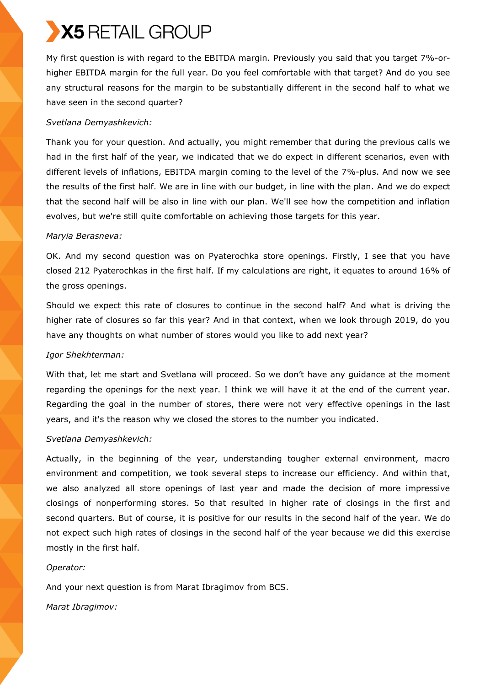My first question is with regard to the EBITDA margin. Previously you said that you target 7%-orhigher EBITDA margin for the full year. Do you feel comfortable with that target? And do you see any structural reasons for the margin to be substantially different in the second half to what we have seen in the second quarter?

# *Svetlana Demyashkevich:*

Thank you for your question. And actually, you might remember that during the previous calls we had in the first half of the year, we indicated that we do expect in different scenarios, even with different levels of inflations, EBITDA margin coming to the level of the 7%-plus. And now we see the results of the first half. We are in line with our budget, in line with the plan. And we do expect that the second half will be also in line with our plan. We'll see how the competition and inflation evolves, but we're still quite comfortable on achieving those targets for this year.

### *Maryia Berasneva:*

OK. And my second question was on Pyaterochka store openings. Firstly, I see that you have closed 212 Pyaterochkas in the first half. If my calculations are right, it equates to around 16% of the gross openings.

Should we expect this rate of closures to continue in the second half? And what is driving the higher rate of closures so far this year? And in that context, when we look through 2019, do you have any thoughts on what number of stores would you like to add next year?

# *Igor Shekhterman:*

With that, let me start and Svetlana will proceed. So we don't have any guidance at the moment regarding the openings for the next year. I think we will have it at the end of the current year. Regarding the goal in the number of stores, there were not very effective openings in the last years, and it's the reason why we closed the stores to the number you indicated.

# *Svetlana Demyashkevich:*

Actually, in the beginning of the year, understanding tougher external environment, macro environment and competition, we took several steps to increase our efficiency. And within that, we also analyzed all store openings of last year and made the decision of more impressive closings of nonperforming stores. So that resulted in higher rate of closings in the first and second quarters. But of course, it is positive for our results in the second half of the year. We do not expect such high rates of closings in the second half of the year because we did this exercise mostly in the first half.

#### *Operator:*

And your next question is from Marat Ibragimov from BCS.

*Marat Ibragimov:*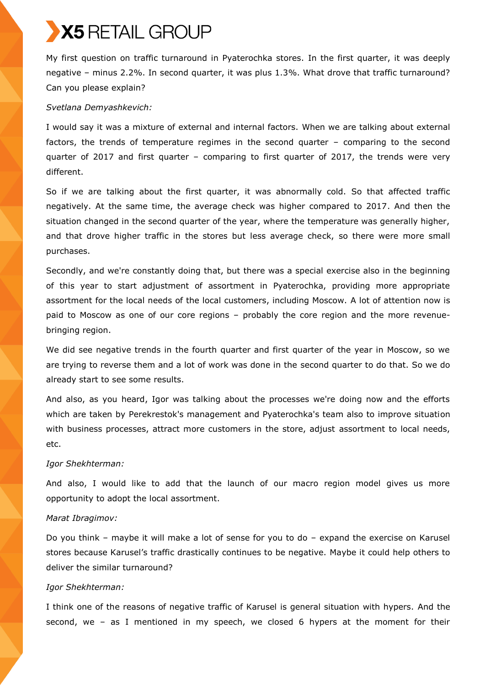My first question on traffic turnaround in Pyaterochka stores. In the first quarter, it was deeply negative – minus 2.2%. In second quarter, it was plus 1.3%. What drove that traffic turnaround? Can you please explain?

#### *Svetlana Demyashkevich:*

I would say it was a mixture of external and internal factors. When we are talking about external factors, the trends of temperature regimes in the second quarter – comparing to the second quarter of 2017 and first quarter – comparing to first quarter of 2017, the trends were very different.

So if we are talking about the first quarter, it was abnormally cold. So that affected traffic negatively. At the same time, the average check was higher compared to 2017. And then the situation changed in the second quarter of the year, where the temperature was generally higher, and that drove higher traffic in the stores but less average check, so there were more small purchases.

Secondly, and we're constantly doing that, but there was a special exercise also in the beginning of this year to start adjustment of assortment in Pyaterochka, providing more appropriate assortment for the local needs of the local customers, including Moscow. A lot of attention now is paid to Moscow as one of our core regions – probably the core region and the more revenuebringing region.

We did see negative trends in the fourth quarter and first quarter of the year in Moscow, so we are trying to reverse them and a lot of work was done in the second quarter to do that. So we do already start to see some results.

And also, as you heard, Igor was talking about the processes we're doing now and the efforts which are taken by Perekrestok's management and Pyaterochka's team also to improve situation with business processes, attract more customers in the store, adjust assortment to local needs, etc.

#### *Igor Shekhterman:*

And also, I would like to add that the launch of our macro region model gives us more opportunity to adopt the local assortment.

#### *Marat Ibragimov:*

Do you think – maybe it will make a lot of sense for you to do – expand the exercise on Karusel stores because Karusel's traffic drastically continues to be negative. Maybe it could help others to deliver the similar turnaround?

#### *Igor Shekhterman:*

I think one of the reasons of negative traffic of Karusel is general situation with hypers. And the second, we – as I mentioned in my speech, we closed 6 hypers at the moment for their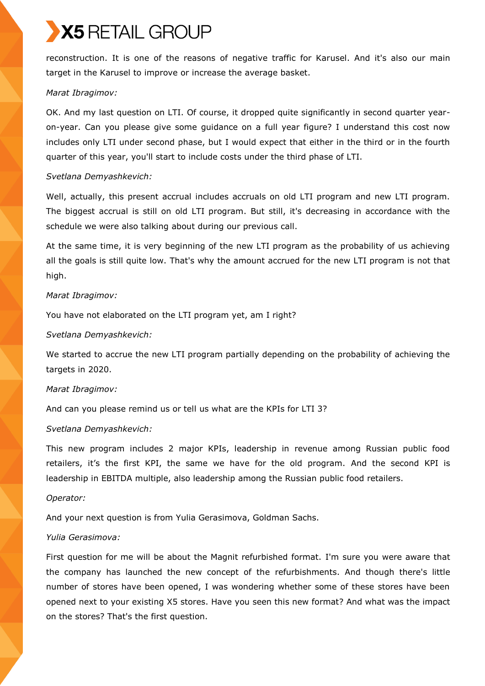reconstruction. It is one of the reasons of negative traffic for Karusel. And it's also our main target in the Karusel to improve or increase the average basket.

### *Marat Ibragimov:*

OK. And my last question on LTI. Of course, it dropped quite significantly in second quarter yearon-year. Can you please give some guidance on a full year figure? I understand this cost now includes only LTI under second phase, but I would expect that either in the third or in the fourth quarter of this year, you'll start to include costs under the third phase of LTI.

### *Svetlana Demyashkevich:*

Well, actually, this present accrual includes accruals on old LTI program and new LTI program. The biggest accrual is still on old LTI program. But still, it's decreasing in accordance with the schedule we were also talking about during our previous call.

At the same time, it is very beginning of the new LTI program as the probability of us achieving all the goals is still quite low. That's why the amount accrued for the new LTI program is not that high.

# *Marat Ibragimov:*

You have not elaborated on the LTI program yet, am I right?

### *Svetlana Demyashkevich:*

We started to accrue the new LTI program partially depending on the probability of achieving the targets in 2020.

#### *Marat Ibragimov:*

And can you please remind us or tell us what are the KPIs for LTI 3?

#### *Svetlana Demyashkevich:*

This new program includes 2 major KPIs, leadership in revenue among Russian public food retailers, it's the first KPI, the same we have for the old program. And the second KPI is leadership in EBITDA multiple, also leadership among the Russian public food retailers.

#### *Operator:*

And your next question is from Yulia Gerasimova, Goldman Sachs.

#### *Yulia Gerasimova:*

First question for me will be about the Magnit refurbished format. I'm sure you were aware that the company has launched the new concept of the refurbishments. And though there's little number of stores have been opened, I was wondering whether some of these stores have been opened next to your existing X5 stores. Have you seen this new format? And what was the impact on the stores? That's the first question.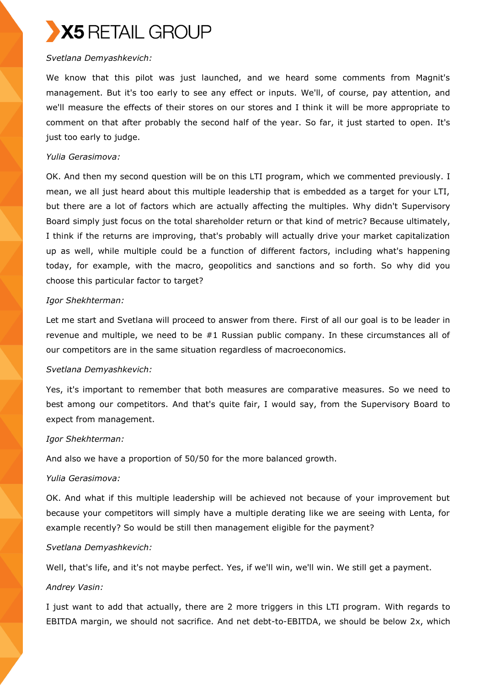#### *Svetlana Demyashkevich:*

We know that this pilot was just launched, and we heard some comments from Magnit's management. But it's too early to see any effect or inputs. We'll, of course, pay attention, and we'll measure the effects of their stores on our stores and I think it will be more appropriate to comment on that after probably the second half of the year. So far, it just started to open. It's just too early to judge.

#### *Yulia Gerasimova:*

OK. And then my second question will be on this LTI program, which we commented previously. I mean, we all just heard about this multiple leadership that is embedded as a target for your LTI, but there are a lot of factors which are actually affecting the multiples. Why didn't Supervisory Board simply just focus on the total shareholder return or that kind of metric? Because ultimately, I think if the returns are improving, that's probably will actually drive your market capitalization up as well, while multiple could be a function of different factors, including what's happening today, for example, with the macro, geopolitics and sanctions and so forth. So why did you choose this particular factor to target?

### *Igor Shekhterman:*

Let me start and Svetlana will proceed to answer from there. First of all our goal is to be leader in revenue and multiple, we need to be #1 Russian public company. In these circumstances all of our competitors are in the same situation regardless of macroeconomics.

#### *Svetlana Demyashkevich:*

Yes, it's important to remember that both measures are comparative measures. So we need to best among our competitors. And that's quite fair, I would say, from the Supervisory Board to expect from management.

#### *Igor Shekhterman:*

And also we have a proportion of 50/50 for the more balanced growth.

#### *Yulia Gerasimova:*

OK. And what if this multiple leadership will be achieved not because of your improvement but because your competitors will simply have a multiple derating like we are seeing with Lenta, for example recently? So would be still then management eligible for the payment?

#### *Svetlana Demyashkevich:*

Well, that's life, and it's not maybe perfect. Yes, if we'll win, we'll win. We still get a payment.

# *Andrey Vasin:*

I just want to add that actually, there are 2 more triggers in this LTI program. With regards to EBITDA margin, we should not sacrifice. And net debt-to-EBITDA, we should be below 2x, which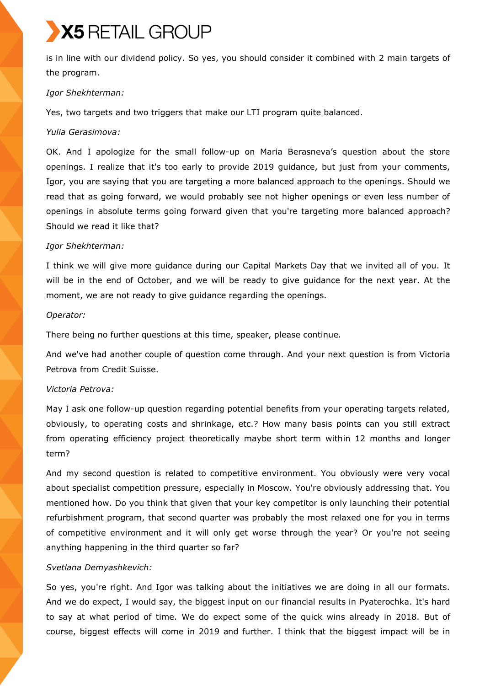is in line with our dividend policy. So yes, you should consider it combined with 2 main targets of the program.

#### *Igor Shekhterman:*

Yes, two targets and two triggers that make our LTI program quite balanced.

#### *Yulia Gerasimova:*

OK. And I apologize for the small follow-up on Maria Berasneva's question about the store openings. I realize that it's too early to provide 2019 guidance, but just from your comments, Igor, you are saying that you are targeting a more balanced approach to the openings. Should we read that as going forward, we would probably see not higher openings or even less number of openings in absolute terms going forward given that you're targeting more balanced approach? Should we read it like that?

#### *Igor Shekhterman:*

I think we will give more guidance during our Capital Markets Day that we invited all of you. It will be in the end of October, and we will be ready to give guidance for the next year. At the moment, we are not ready to give guidance regarding the openings.

#### *Operator:*

There being no further questions at this time, speaker, please continue.

And we've had another couple of question come through. And your next question is from Victoria Petrova from Credit Suisse.

#### *Victoria Petrova:*

May I ask one follow-up question regarding potential benefits from your operating targets related, obviously, to operating costs and shrinkage, etc.? How many basis points can you still extract from operating efficiency project theoretically maybe short term within 12 months and longer term?

And my second question is related to competitive environment. You obviously were very vocal about specialist competition pressure, especially in Moscow. You're obviously addressing that. You mentioned how. Do you think that given that your key competitor is only launching their potential refurbishment program, that second quarter was probably the most relaxed one for you in terms of competitive environment and it will only get worse through the year? Or you're not seeing anything happening in the third quarter so far?

#### *Svetlana Demyashkevich:*

So yes, you're right. And Igor was talking about the initiatives we are doing in all our formats. And we do expect, I would say, the biggest input on our financial results in Pyaterochka. It's hard to say at what period of time. We do expect some of the quick wins already in 2018. But of course, biggest effects will come in 2019 and further. I think that the biggest impact will be in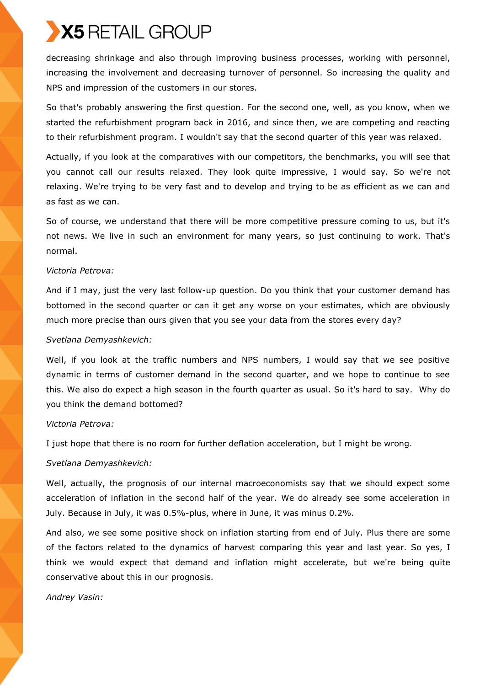decreasing shrinkage and also through improving business processes, working with personnel, increasing the involvement and decreasing turnover of personnel. So increasing the quality and NPS and impression of the customers in our stores.

So that's probably answering the first question. For the second one, well, as you know, when we started the refurbishment program back in 2016, and since then, we are competing and reacting to their refurbishment program. I wouldn't say that the second quarter of this year was relaxed.

Actually, if you look at the comparatives with our competitors, the benchmarks, you will see that you cannot call our results relaxed. They look quite impressive, I would say. So we're not relaxing. We're trying to be very fast and to develop and trying to be as efficient as we can and as fast as we can.

So of course, we understand that there will be more competitive pressure coming to us, but it's not news. We live in such an environment for many years, so just continuing to work. That's normal.

#### *Victoria Petrova:*

And if I may, just the very last follow-up question. Do you think that your customer demand has bottomed in the second quarter or can it get any worse on your estimates, which are obviously much more precise than ours given that you see your data from the stores every day?

#### *Svetlana Demyashkevich:*

Well, if you look at the traffic numbers and NPS numbers, I would say that we see positive dynamic in terms of customer demand in the second quarter, and we hope to continue to see this. We also do expect a high season in the fourth quarter as usual. So it's hard to say. Why do you think the demand bottomed?

#### *Victoria Petrova:*

I just hope that there is no room for further deflation acceleration, but I might be wrong.

# *Svetlana Demyashkevich:*

Well, actually, the prognosis of our internal macroeconomists say that we should expect some acceleration of inflation in the second half of the year. We do already see some acceleration in July. Because in July, it was 0.5%-plus, where in June, it was minus 0.2%.

And also, we see some positive shock on inflation starting from end of July. Plus there are some of the factors related to the dynamics of harvest comparing this year and last year. So yes, I think we would expect that demand and inflation might accelerate, but we're being quite conservative about this in our prognosis.

*Andrey Vasin:*